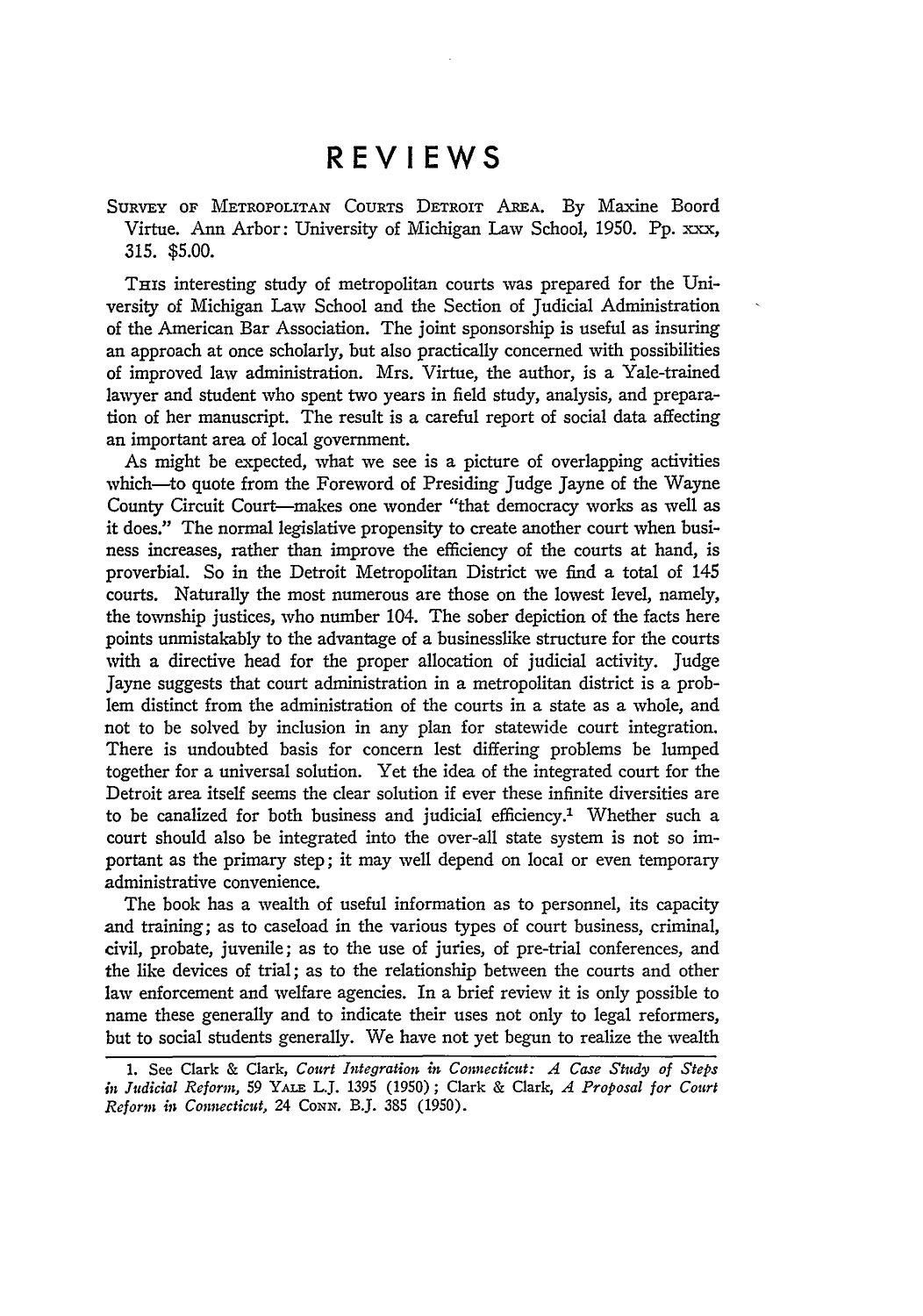## **REVIEWS**

SURVEY OF METROPOLITAN COURTS DETROIT AREA. By Maxine Boord Virtue. Ann Arbor: University of Michigan Law School, 1950. **Pp.** xxx, **315. \$5.00.**

THIS interesting study of metropolitan courts was prepared for the University of Michigan Law School and the Section of Judicial Administration of the American Bar Association. The joint sponsorship is useful as insuring an approach at once scholarly, but also practically concerned with possibilities of improved law administration. Mrs. Virtue, the author, is a Yale-trained lawyer and student who spent two years in field study, analysis, and preparation of her manuscript. The result is a careful report of social data affecting an important area of local government.

As might be expected, what we see is a picture of overlapping activities which-to quote from the Foreword of Presiding Judge Jayne of the Wayne County Circuit Court-makes one wonder "that democracy works as well as it does." The normal legislative propensity to create another court when business increases, rather than improve the efficiency of the courts at hand, is proverbial. So in the Detroit Metropolitan District we find a total of 145 courts. Naturally the most numerous are those on the lowest level, namely, the township justices, who number 104. The sober depiction of the facts here points unmistakably to the advantage of a businesslike structure for the courts with a directive head for the proper allocation of judicial activity. Judge Jayne suggests that court administration in a metropolitan district is a problem distinct from the administration of the courts in a state as a whole, and not to be solved **by** inclusion in any plan for statewide court integration. There is undoubted basis for concern lest differing problems be lumped together for a universal solution. Yet the idea of the integrated court for the Detroit area itself seems the clear solution if ever these infinite diversities are to be canalized for both business and judicial efficiency.' Whether such a court should also be integrated into the over-all state system is not so important as the primary step; it may well depend on local or even temporary administrative convenience.

The book has a wealth of useful information as to personnel, its capacity and training; as to caseload in the various types of court business, criminal, civil, probate, juvenile; as to the use of juries, of pre-trial conferences, and the like devices of trial; as to the relationship between the courts and other law enforcement and welfare agencies. In a brief review it is only possible to name these generally and to indicate their uses not only to legal reformers, but to social students generally. We have not yet begun to realize the wealth

**<sup>1.</sup>** See Clark & Clark, *Court Integration in Connecticut: A Case Study of Steps in Judicial Reformn, 59* YALE L.J. **1395** (1950); Clark & Clark, *A Proposal for Court Reform ii; Connecticut,* 24 CONN. B.J. **385** (1950).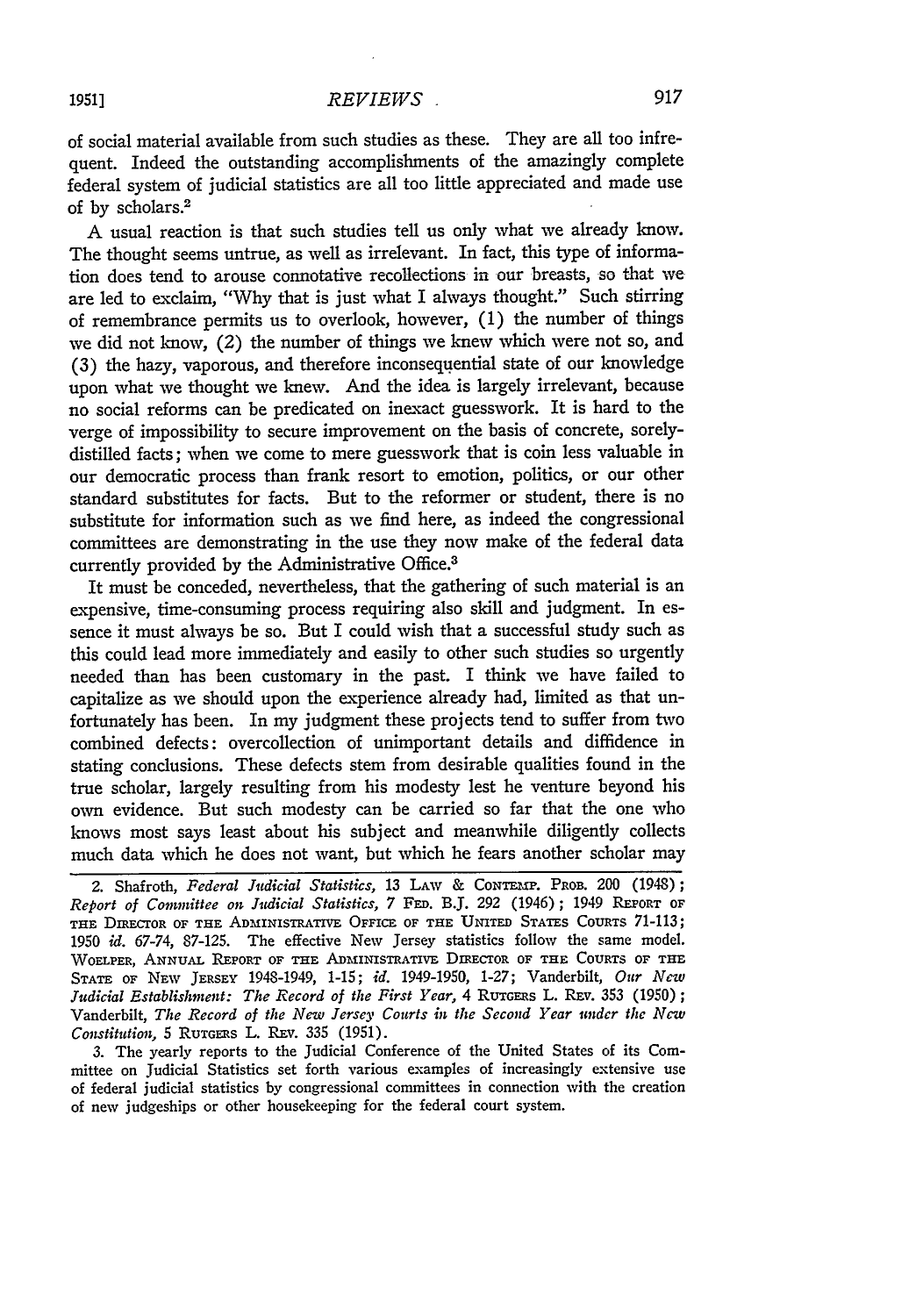of social material available from such studies as these. They are all too infrequent. Indeed the outstanding accomplishments of the amazingly complete federal system of judicial statistics are all too little appreciated and made use of by scholars.<sup>2</sup>

A usual reaction is that such studies tell us only what we already know. The thought seems untrue, as well as irrelevant. In fact, this type of information does tend to arouse connotative recollections in our breasts, so that we are led to exclaim, "Why that is just what I always thought." Such stirring of remembrance permits us to overlook, however, (1) the number of things we did not know, *(2)* the number of things we knew which were not so, and (3) the hazy, vaporous, and therefore inconsequential state of our knowledge upon what we thought we knew. And the idea is largely irrelevant, because no social reforms can be predicated on inexact guesswork. It is hard to the verge of impossibility to secure improvement on the basis of concrete, sorelydistilled facts; when we come to mere guesswork that is coin less valuable in our democratic process than frank resort to emotion, politics, or our other standard substitutes for facts. But to the reformer or student, there is no substitute for information such as we find here, as indeed the congressional committees are demonstrating in the use they now make of the federal data currently provided by the Administrative Office.3

It must be conceded, nevertheless, that the gathering of such material is an expensive, time-consuming process requiring also skill and judgment. In essence it must always be so. But I could wish that a successful study such as this could lead more immediately and easily to other such studies so urgently needed than has been customary in the past. I think we have failed to capitalize as we should upon the experience already had, limited as that unfortunately has been. In my judgment these projects tend to suffer from two combined defects: overcollection of unimportant details and diffidence in stating conclusions. These defects stem from desirable qualities found in the true scholar, largely resulting from his modesty lest he venture beyond his own evidence. But such modesty can be carried so far that the one who knows most says least about his subject and meanwhile diligently collects much data which he does not want, but which he fears another scholar may

2. Shafroth, *Federal Judicial Statistics*, 13 LAW & CONTEMP. PROB. 200 (1948); *Report of Committee on Judicial Statistics,* 7 FED. B.J. 292 (1946); 1949 *REPORT* **OF** THE DmEcTOR OF THE ADMINISTRATIVE OFFICE OF THE **UNITED** STATES COURTS **71-113;** 1950 *id.* 67-74, 87-125. The effective New Jersey statistics follow the same model. WOELPER, ANNUAL REPORT OF THE ADmINISTRATIVE DIRECTOR OF THE COURTS OF THE STATE OF NEw JERSEY 1948-1949, 1-15; *id.* 1949-1950, 1-27; Vanderbilt, *Our New Judicial Establishment: The Record of the First Year,* 4 RUTGERS L. REV. 353 (1950); Vanderbilt, *The Record of the New Jersey Courts in the Second Year under the New Constitution,* 5 RUTGERS L. REv. 335 (1951).

3. The yearly reports to the Judicial Conference of the United States of its Committee on Judicial Statistics set forth various examples of increasingly extensive use of federal judicial statistics by congressional committees in connection with the creation of new judgeships or other housekeeping for the federal court system.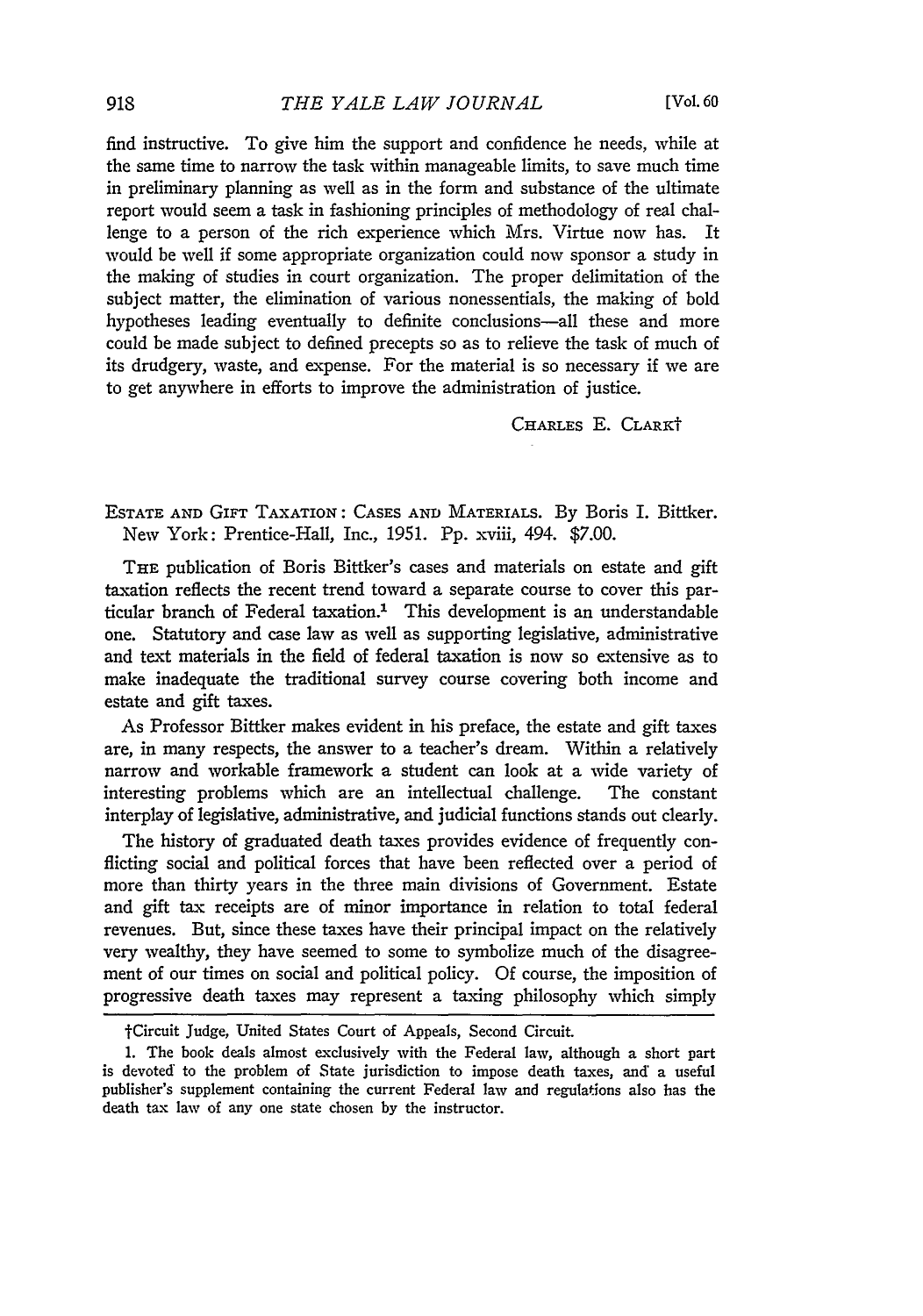find instructive. To give him the support and confidence he needs, while at the same time to narrow the task within manageable limits, to save much time in preliminary planning as well as in the form and substance of the ultimate report would seem a task in fashioning principles of methodology of real challenge to a person of the rich experience which Mrs. Virtue now has. It would be well if some appropriate organization could now sponsor a study in the making of studies in court organization. The proper delimitation of the subject matter, the elimination of various nonessentials, the making of bold hypotheses leading eventually to definite conclusions-all these and more could be made subject to defined precepts so as to relieve the task of much of its drudgery, waste, and expense. For the material is so necessary if we are to get anywhere in efforts to improve the administration of justice.

CHARLES **E.** CLARKt

ESTATE **AND** GIFT TAXATION: CASES **AND** MATERIALS. **By** Boris I. Bittker. New York: Prentice-Hall, Inc., 1951. Pp. xviii, 494. \$7.00.

THE publication of Boris Bittker's cases and materials on estate and gift taxation reflects the recent trend toward a separate course to cover this particular branch of Federal taxation.' This development is an understandable one. Statutory and case law as well as supporting legislative, administrative and text materials in the field of federal taxation is now so extensive as to make inadequate the traditional survey course covering both income and estate and gift taxes.

As Professor Bittker makes evident in his preface, the estate and gift taxes are, in many respects, the answer to a teacher's dream. Within a relatively narrow and workable framework a student can look at a wide variety of interesting problems which are an intellectual challenge. The constant interplay of legislative, administrative, and judicial functions stands out clearly.

The history of graduated death taxes provides evidence of frequently conflicting social and political forces that have been reflected over a period of more than thirty years in the three main divisions of Government. Estate and gift tax receipts are of minor importance in relation to total federal revenues. But, since these taxes have their principal impact on the relatively very wealthy, they have seemed to some to symbolize much of the disagreement of our times on social and political policy. Of course, the imposition of progressive death taxes may represent a taxing philosophy which simply

tCircuit Judge, United States Court of Appeals, Second Circuit.

**<sup>1.</sup>** The book deals almost exclusively with the Federal law, although a short part is devoted to the problem of State jurisdiction to impose death taxes, and' a useful publisher's supplement containing the current Federal law and regulations also has the death tax law of any one state chosen by the instructor.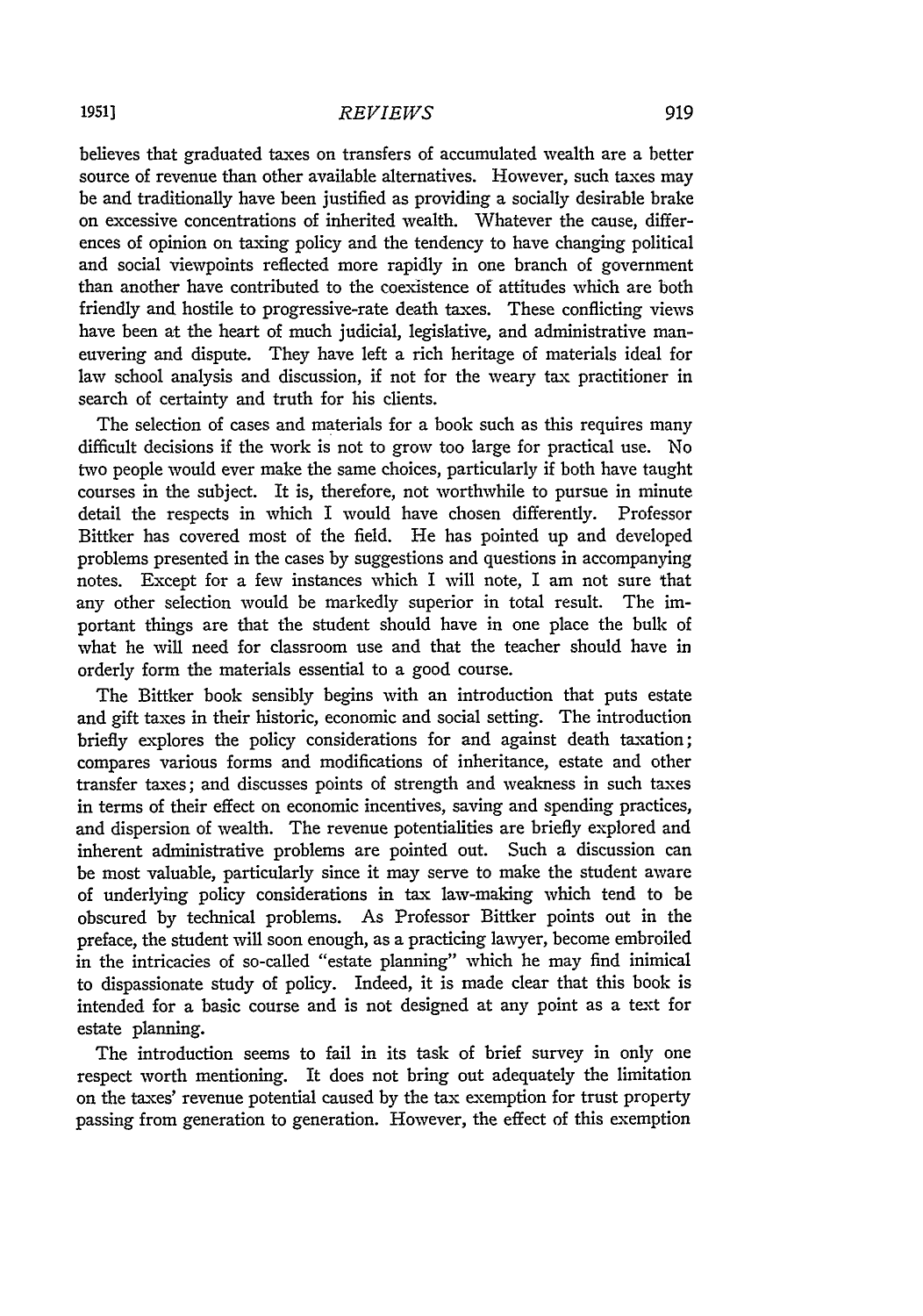## *REVIEWS*

believes that graduated taxes on transfers of accumulated wealth are a better source of revenue than other available alternatives. However, such taxes may be and traditionally have been justified as providing a socially desirable brake on excessive concentrations of inherited wealth. Whatever the cause, differences of opinion on taxing policy and the tendency to have changing political and social viewpoints reflected more rapidly in one branch of government than another have contributed to the coexistence of attitudes which are both friendly and hostile to progressive-rate death taxes. These conflicting views have been at the heart of much judicial, legislative, and administrative maneuvering and dispute. They have left a rich heritage of materials ideal for law school analysis and discussion, if not for the weary tax practitioner in search of certainty and truth for his clients.

The selection of cases and materials for a book such as this requires many difficult decisions if the work is not to grow too large for practical use. No two people would ever make the same choices, particularly if both have taught courses in the subject. It is, therefore, not worthwhile to pursue in minute detail the respects in which I would have chosen differently. Professor Bittker has covered most of the field. He has pointed up and developed problems presented in the cases by suggestions and questions in accompanying notes. Except for a few instances which I will note, I am not sure that any other selection would be markedly superior in total result. The important things are that the student should have in one place the bulk of what he will need for classroom use and that the teacher should have in orderly form the materials essential to a good course.

The Bittker book sensibly begins with an introduction that puts estate and gift taxes in their historic, economic and social setting. The introduction briefly explores the policy considerations for and against death taxation; compares various forms and modifications of inheritance, estate and other transfer taxes; and discusses points of strength and weakness in such taxes in terms of their effect on economic incentives, saving and spending practices, and dispersion of wealth. The revenue potentialities are briefly explored and inherent administrative problems are pointed out. Such a discussion can be most valuable, particularly since it may serve to make the student aware of underlying policy considerations in tax law-making which tend to be obscured by technical problems. As Professor Bittker points out in the preface, the student will soon enough, as a practicing lawyer, become embroiled in the intricacies of so-called "estate planning" which he may find inimical to dispassionate study of policy. Indeed, it is made clear that this book is intended for a basic course and is not designed at any point as a text for estate planning.

The introduction seems to fail in its task of brief survey in only one respect worth mentioning. It does not bring out adequately the limitation on the taxes' revenue potential caused by the tax exemption for trust property passing from generation to generation. However, the effect of this exemption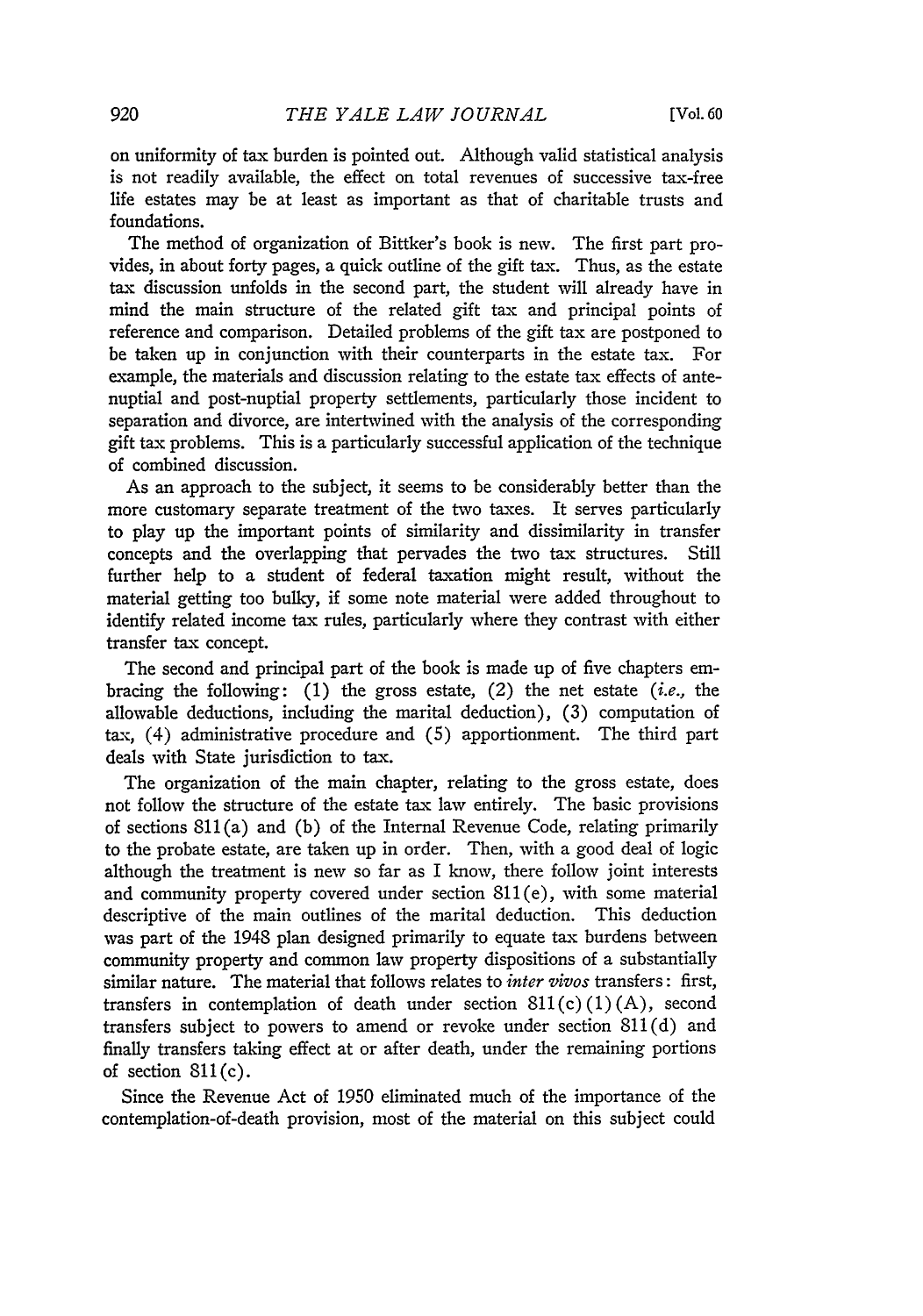on uniformity of tax burden is pointed out. Although valid statistical analysis is not readily available, the effect on total revenues of successive tax-free life estates may be at least as important as that of charitable trusts and foundations.

The method of organization of Bittker's book is new. The first part provides, in about forty pages, a quick outline of the gift tax. Thus, as the estate tax discussion unfolds in the second part, the student will already have in mind the main structure of the related gift tax and principal points of reference and comparison. Detailed problems of the gift tax are postponed to be taken up in conjunction with their counterparts in the estate tax. For example, the materials and discussion relating to the estate tax effects of antenuptial and post-nuptial property settlements, particularly those incident to separation and divorce, are intertwined with the analysis of the corresponding gift tax problems. This is a particularly successful application of the technique of combined discussion.

As an approach to the subject, it seems to be considerably better than the more customary separate treatment of the two taxes. It serves particularly to play up the important points of similarity and dissimilarity in transfer concepts and the overlapping that pervades the two tax structures. Still further help to a student of federal taxation might result, without the material getting too bulky, if some note material were added throughout to identify related income tax rules, particularly where they contrast with either transfer tax concept.

The second and principal part of the book is made up of five chapters embracing the following: (1) the gross estate, (2) the net estate *(i.e.,* the allowable deductions, including the marital deduction), (3) computation of tax, (4) administrative procedure and (5) apportionment. The third part deals with State jurisdiction to tax.

The organization of the main chapter, relating to the gross estate, does not follow the structure of the estate tax law entirely. The basic provisions of sections  $811(a)$  and (b) of the Internal Revenue Code, relating primarily to the probate estate, are taken up in order. Then, with a good deal of logic although the treatment is new so far as I know, there follow joint interests and community property covered under section 811(e), with some material descriptive of the main outlines of the marital deduction. This deduction was part of the 1948 plan designed primarily to equate tax burdens between community property and common law property dispositions of a substantially similar nature. The material that follows relates to *inter vivos* transfers: first, transfers in contemplation of death under section  $811(c)(1)(A)$ , second transfers subject to powers to amend or revoke under section 811(d) and finally transfers taking effect at or after death, under the remaining portions of section 811(c).

Since the Revenue Act of 1950 eliminated much of the importance of the contemplation-of-death provision, most of the material on this subject could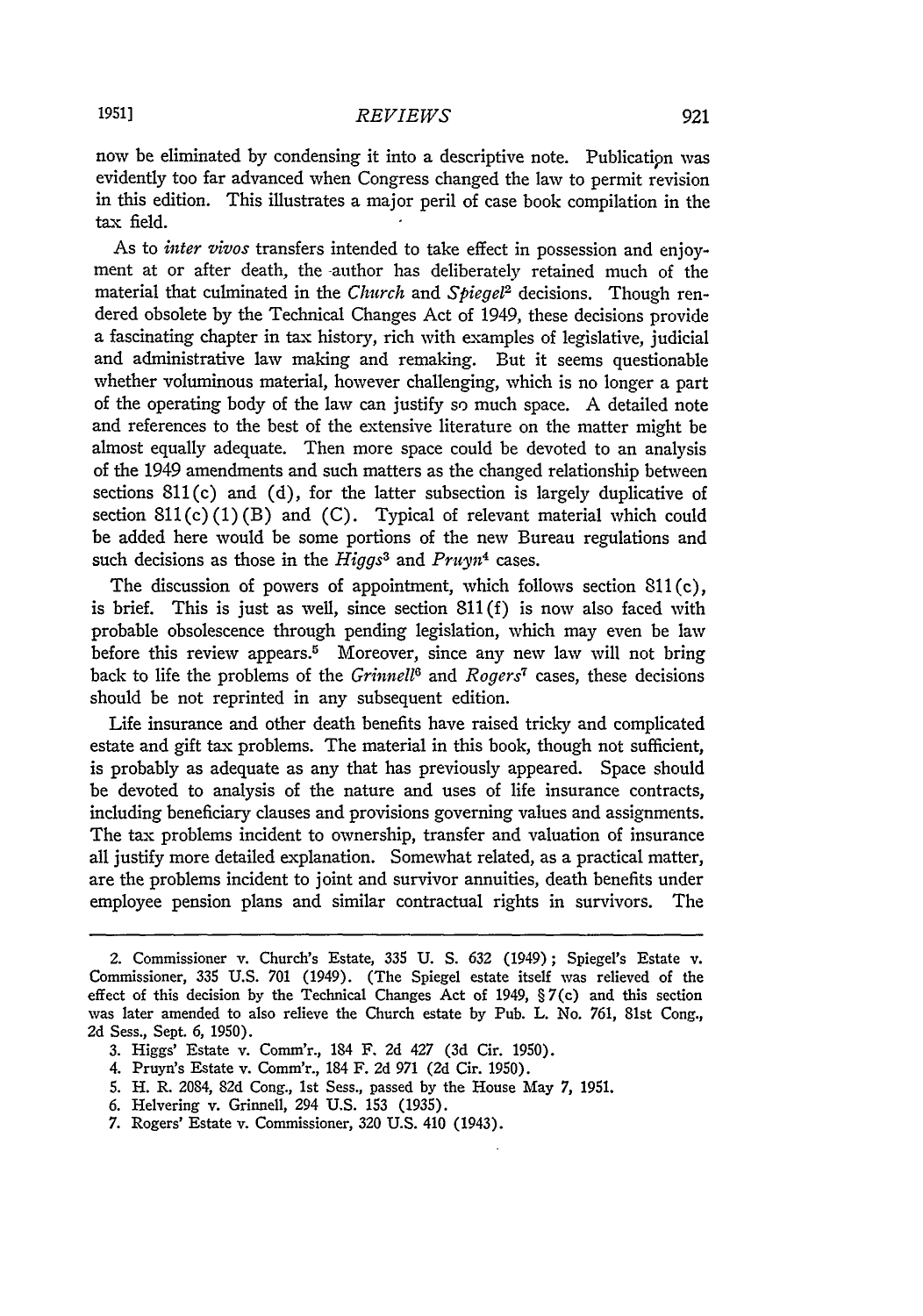now be eliminated **by** condensing it into a descriptive note. Publicatipn was evidently too far advanced when Congress changed the law to permit revision in this edition. This illustrates a major peril of case book compilation in the tax field.

As to *inter vivos* transfers intended to take effect in possession and enjoyment at or after death, the author has deliberately retained much of the material that culminated in the *Church* and *Spiegel2* decisions. Though rendered obsolete **by** the Technical Changes Act of 1949, these decisions provide a fascinating chapter in tax history, rich with examples of legislative, judicial and administrative law making and remaking. But it seems questionable whether voluminous material, however challenging, which is no longer a part of the operating body of the law can justify so much space. A detailed note and references to the best of the extensive literature on the matter might be almost equally adequate. Then more space could be devoted to an analysis of the 1949 amendments and such matters as the changed relationship between sections  $811(c)$  and  $(d)$ , for the latter subsection is largely duplicative of section  $811(c)(1)(B)$  and  $(C)$ . Typical of relevant material which could be added here would be some portions of the new Bureau regulations and such decisions as those in the *Higgs3* and *Pruyn4* cases.

The discussion of powers of appointment, which follows section 811(c), is brief. This is just as well, since section 811 (f) is now also faced with probable obsolescence through pending legislation, which may even be law before this review appears.<sup>5</sup> Moreover, since any new law will not bring back to life the problems of the *Grinnell6* and *Rogers7* cases, these decisions should be not reprinted in any subsequent edition.

Life insurance and other death benefits have raised tricky and complicated estate and gift tax problems. The material in this book, though not sufficient, is probably as adequate as any that has previously appeared. Space should be devoted to analysis of the nature and uses of life insurance contracts, including beneficiary clauses and provisions governing values and assignments. The tax problems incident to ownership, transfer and valuation of insurance all justify more detailed explanation. Somewhat related, as a practical matter, are the problems incident to joint and survivor annuities, death benefits under employee pension plans and similar contractual rights in survivors. The

- 4. Pruyn's Estate v. Comm'r., 184 F. 2d 971 (2d Cir. 1950).
- 5. H. R. 2084, 82d Cong., 1st Sess., passed by the House May 7, 1951.
- 6. Helvering v. Grinnell, 294 U.S. 153 (1935).
- 7. Rogers' Estate v. Commissioner, 320 U.S. 410 (1943).

<sup>2.</sup> Commissioner v. Church's Estate, 335 U. **S.** 632 (1949); Spiegel's Estate v. Commissioner, 335 U.S. 701 (1949). (The Spiegel estate itself was relieved of the effect of this decision by the Technical Changes Act of 1949,  $\S7(c)$  and this section was later amended to also relieve the Church estate by Pub. L. No. 761, 81st Cong., 2d Sess., Sept. **6,** 1950).

<sup>3.</sup> Higgs' Estate v. Comm'r., 184 F. 2d 427 **(3d** Cir. 1950).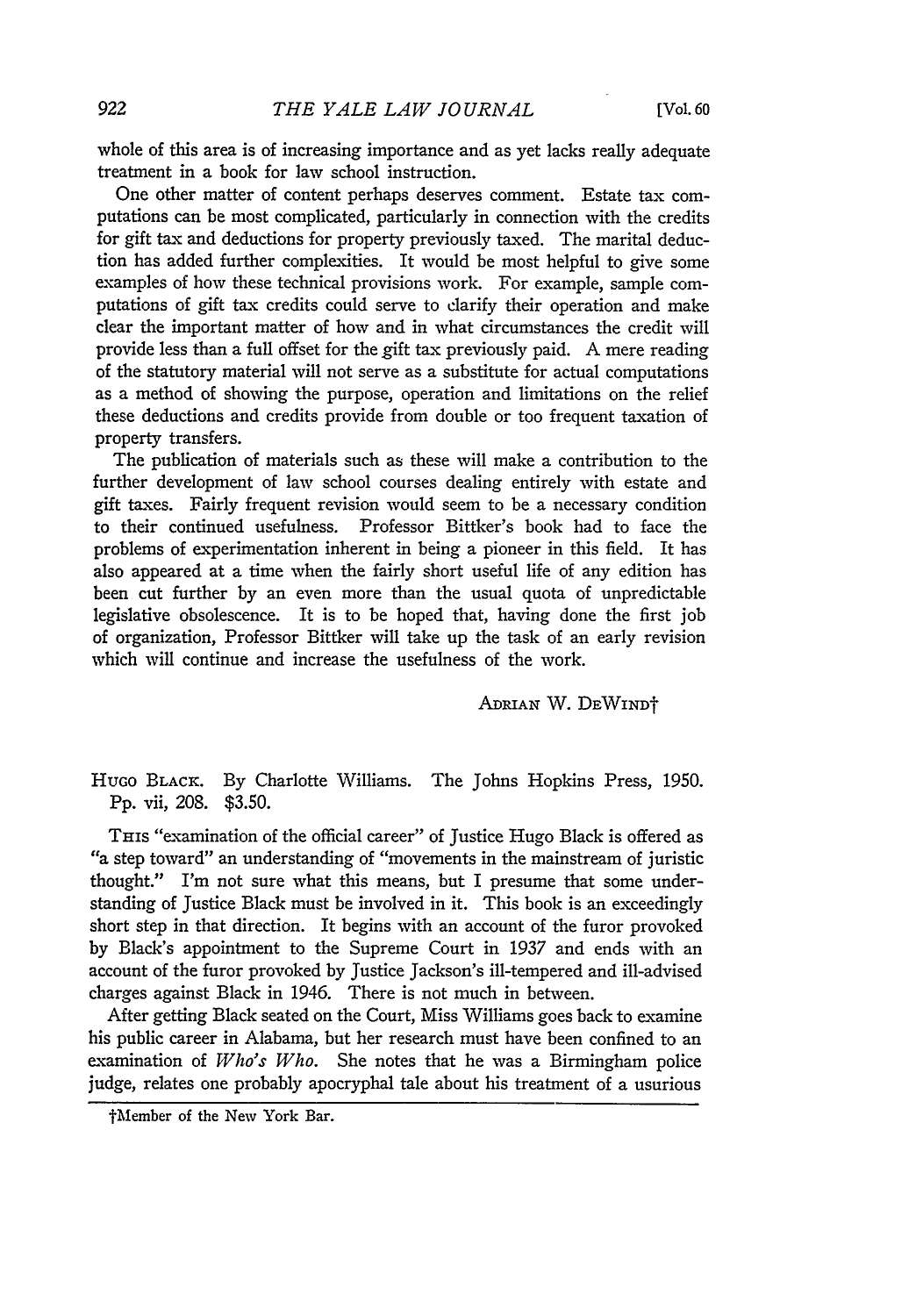whole of this area is of increasing importance and as yet lacks really adequate treatment in a book for law school instruction.

One other matter of content perhaps deserves comment. Estate tax computations can be most complicated, particularly in connection with the credits for gift tax and deductions for property previously taxed. The marital deduction has added further complexities. It would be most helpful to give some examples of how these technical provisions work. For example, sample computations of gift tax credits could serve to clarify their operation and make clear the important matter of how and in what circumstances the credit will provide less than a full offset for the gift tax previously paid. A mere reading of the statutory material will not serve as a substitute for actual computations as a method of showing the purpose, operation and limitations on the relief these deductions and credits provide from double or too frequent taxation of property transfers.

The publication of materials such as these will make a contribution to the further development of law school courses dealing entirely with estate and gift taxes. Fairly frequent revision would seem to be a necessary condition to their continued usefulness. Professor Bittker's book had to face the problems of experimentation inherent in being a pioneer in this field. It has also appeared at a time when the fairly short useful life of any edition has been cut further by an even more than the usual quota of unpredictable legislative obsolescence. It is to be hoped that, having done the first job of organization, Professor Bittker will take up the task of an early revision which will continue and increase the usefulness of the work.

**ADRIAN W. DEWINDT** 

HUGo BLACK. By Charlotte Williams. The Johns Hopkins Press, 1950. Pp. vii, 208. \$3.50.

THIS "examination of the official career" of Justice Hugo Black is offered as "a step toward" an understanding of "movements in the mainstream of juristic thought." I'm not sure what this means, but I presume that some understanding of Justice Black must be involved in it. This book is an exceedingly short step in that direction. It begins with an account of the furor provoked by Black's appointment to the Supreme Court in 1937 and ends with an account of the furor provoked by Justice Jackson's ill-tempered and ill-advised charges against Black in 1946. There is not much in between.

After getting Black seated on the Court, Miss Williams goes back to examine his public career in Alabama, but her research must have been confined to an examination of *Who's Who.* She notes that he was a Birmingham police judge, relates one probably apocryphal tale about his treatment of a usurious

tMember of the New York Bar.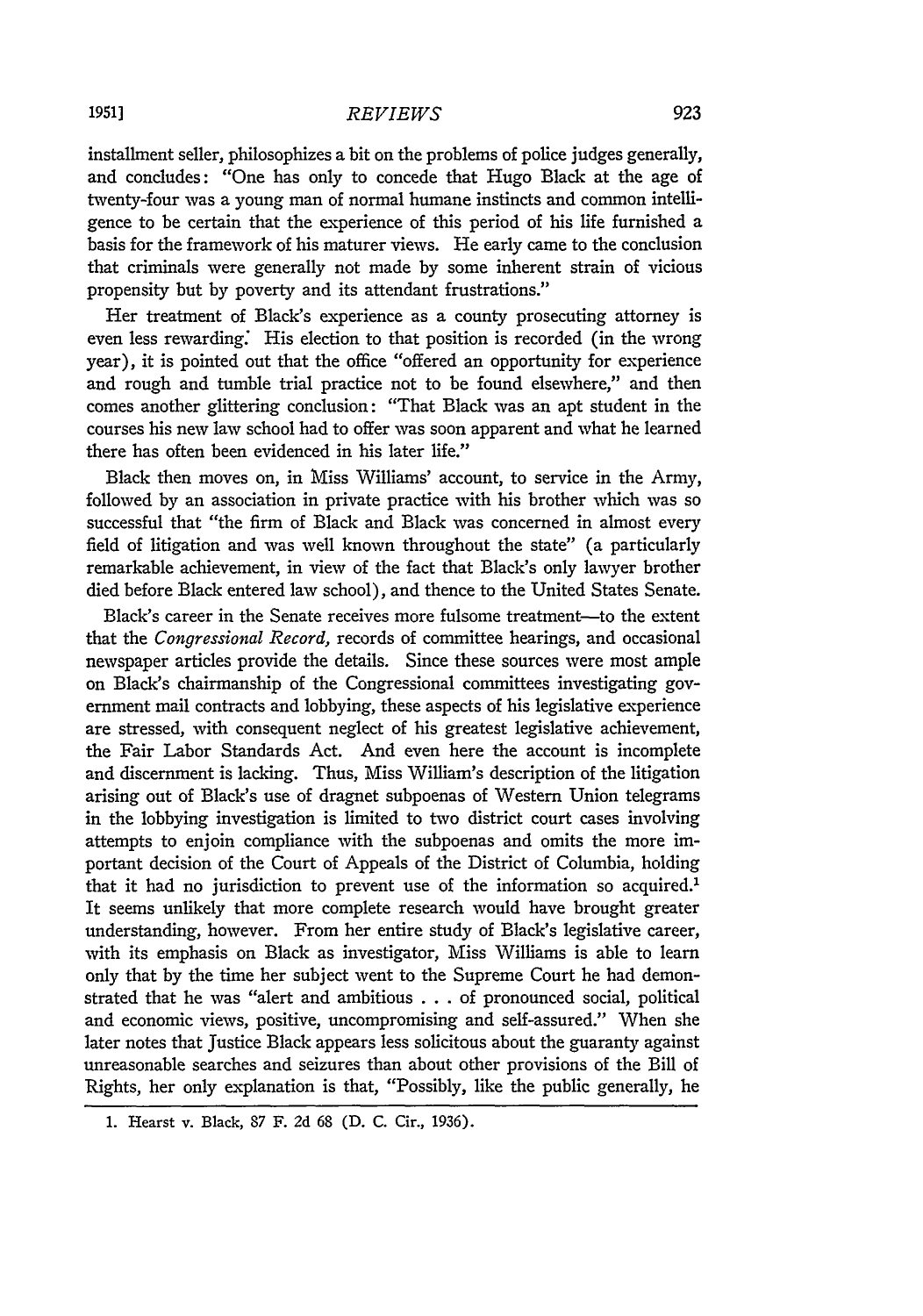## *REVIEWS*

installment seller, philosophizes a bit on the problems of police judges generally, and concludes: "One has only to concede that Hugo Black at the age of twenty-four was a young man of normal humane instincts and common intelligence to be certain that the experience of this period of his life furnished a basis for the framework of his maturer views. He early came to the conclusion that criminals were generally not made **by** some inherent strain of vicious propensity but **by** poverty and its attendant frustrations."

Her treatment of Black's experience as a county prosecuting attorney is even less rewarding: His election to that position is recorded (in the wrong year), it is pointed out that the office "offered an opportunity for experience and rough and tumble trial practice not to be found elsewhere," and then comes another glittering conclusion: "That Black was an apt student in the courses his new law school had to offer was soon apparent and what he learned there has often been evidenced in his later life."

Black then moves on, in Miss Williams' account, to service in the Army, followed **by** an association in private practice with his brother which was so successful that "the firm of Black and Black was concerned in almost every field of litigation and was well known throughout the state" (a particularly remarkable achievement, in view of the fact that Black's only lawyer brother died before Black entered law school), and thence to the United States Senate.

Black's career in the Senate receives more fulsome treatment-to the extent that the *Congressional Record,* records of committee hearings, and occasional newspaper articles provide the details. Since these sources were most ample on Black's chairmanship of the Congressional committees investigating government mail contracts and lobbying, these aspects of his legislative experience are stressed, with consequent neglect of his greatest legislative achievement, the Fair Labor Standards Act. And even here the account is incomplete and discernment is lacking. Thus, Miss William's description of the litigation arising out of Black's use of dragnet subpoenas of Western Union telegrams in the lobbying investigation is limited to two district court cases involving attempts to enjoin compliance with the subpoenas and omits the more important decision of the Court of Appeals of the District of Columbia, holding that it had no jurisdiction to prevent use of the information so acquired.' It seems unlikely that more complete research would have brought greater understanding, however. From her entire study of Black's legislative career, with its emphasis on Black as investigator, Miss Williams is able to learn only that **by** the time her subject went to the Supreme Court he had demonstrated that he was "alert and ambitious **. .** . of pronounced social, political and economic views, positive, uncompromising and self-assured." When she later notes that Justice Black appears less solicitous about the guaranty against unreasonable searches and seizures than about other provisions of the Bill of Rights, her only explanation is that, "Possibly, like the public generally, he

**1951]**

<sup>1.</sup> Hearst v. Black, 87 F. 2d 68 (D. C. Cir., 1936).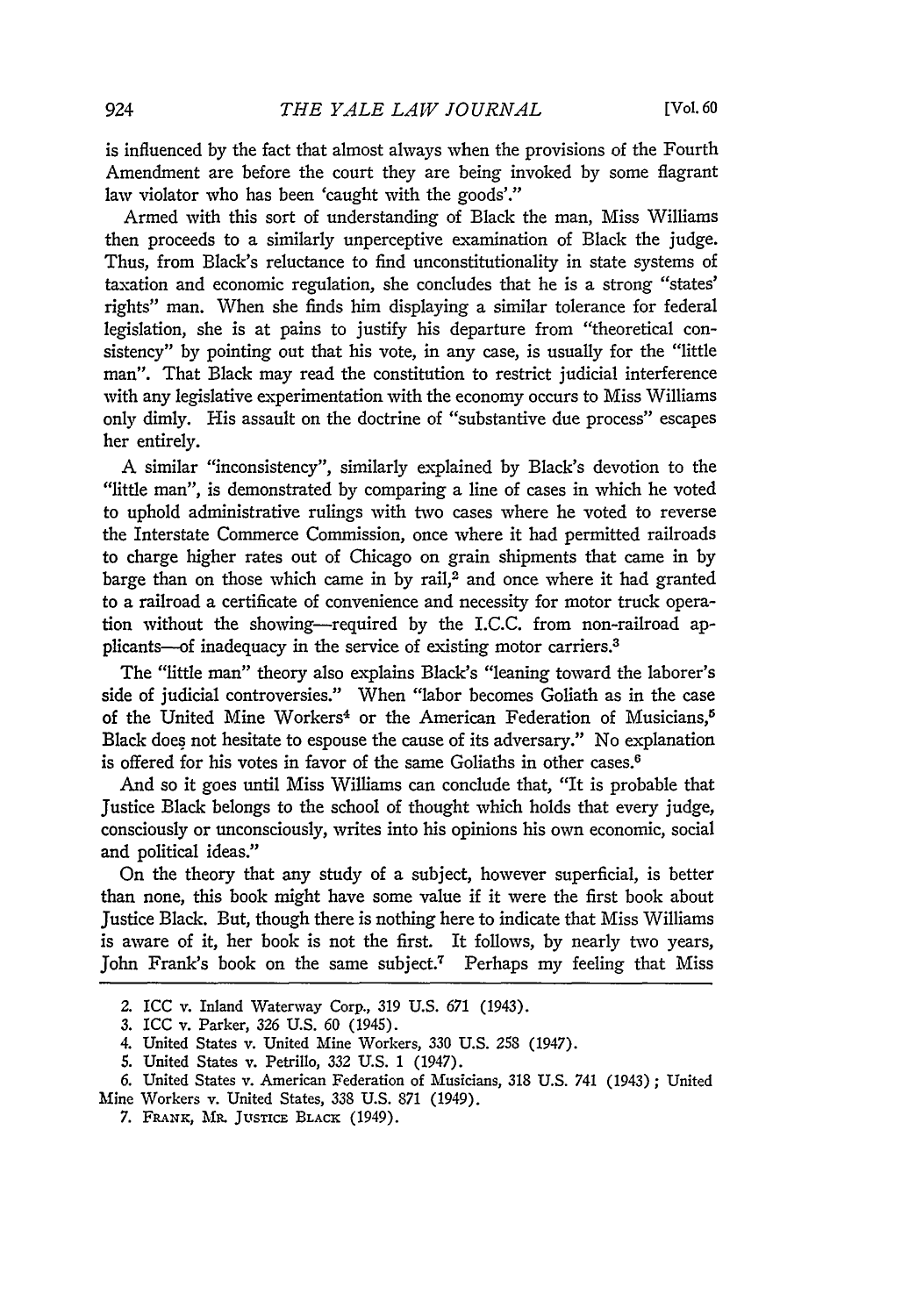is influenced by the fact that almost always when the provisions of the Fourth Amendment are before the court they are being invoked by some flagrant law violator who has been 'caught with the goods'."

Armed with this sort of understanding of Black the man, Miss Williams then proceeds to a similarly unperceptive examination of Black the judge. Thus, from Black's reluctance to find unconstitutionality in state systems of taxation and economic regulation, she concludes that he is a strong "states' rights" man. When she finds him displaying a similar tolerance for federal legislation, she is at pains to justify his departure from "theoretical consistency" by pointing out that his vote, in any case, is usually for the "little man". That Black may read the constitution to restrict judicial interference with any legislative experimentation with the economy occurs to Miss Williams only dimly. His assault on the doctrine of "substantive due process" escapes her entirely.

A similar "inconsistency", similarly explained by Black's devotion to the "little man", is demonstrated by comparing a line of cases in which he voted to uphold administrative rulings with two cases where he voted to reverse the Interstate Commerce Commission, once where it had permitted railroads to charge higher rates out of Chicago on grain shipments that came in by barge than on those which came in by rail,<sup>2</sup> and once where it had granted to a railroad a certificate of convenience and necessity for motor truck operation without the showing-required by the I.C.C. from non-railroad applicants--of inadequacy in the service of existing motor carriers.<sup>3</sup>

The "little man" theory also explains Black's "leaning toward the laborer's side of judicial controversies." When "labor becomes Goliath as in the case of the United Mine Workers<sup>4</sup> or the American Federation of Musicians,<sup>5</sup> Black does not hesitate to espouse the cause of its adversary." No explanation is offered for his votes in favor of the same Goliaths in other cases.<sup>6</sup>

And so it goes until Miss Williams can conclude that, "It is probable that Justice Black belongs to the school of thought which holds that every judge, consciously or unconsciously, writes into his opinions his own economic, social and political ideas."

On the theory that any study of a subject, however superficial, is better than none, this book might have some value if it were the first book about Justice Black. But, though there is nothing here to indicate that Miss Williams is aware of it, her book is not the first. It follows, by nearly two years, John Frank's book on the same subject.7 Perhaps my feeling that Miss

5. United States v. Petrillo, 332 U.S. 1 (1947).

6. United States v. American Federation of Musicians, 318 U.S. 741 (1943) ; United

- Mine Workers v. United States, 338 U.S. 871 (1949).
	- **7.** FRANK, MR. **JUSTIcE BLACK** (1949).

<sup>2.</sup> ICC v. Inland Waterway Corp., 319 U.S. 671 (1943).

**<sup>3.</sup>** ICC v. Parker, 326 U.S. **60** (1945).

<sup>4.</sup> United States v. United Mine Workers, **330** U.S. 258 (1947).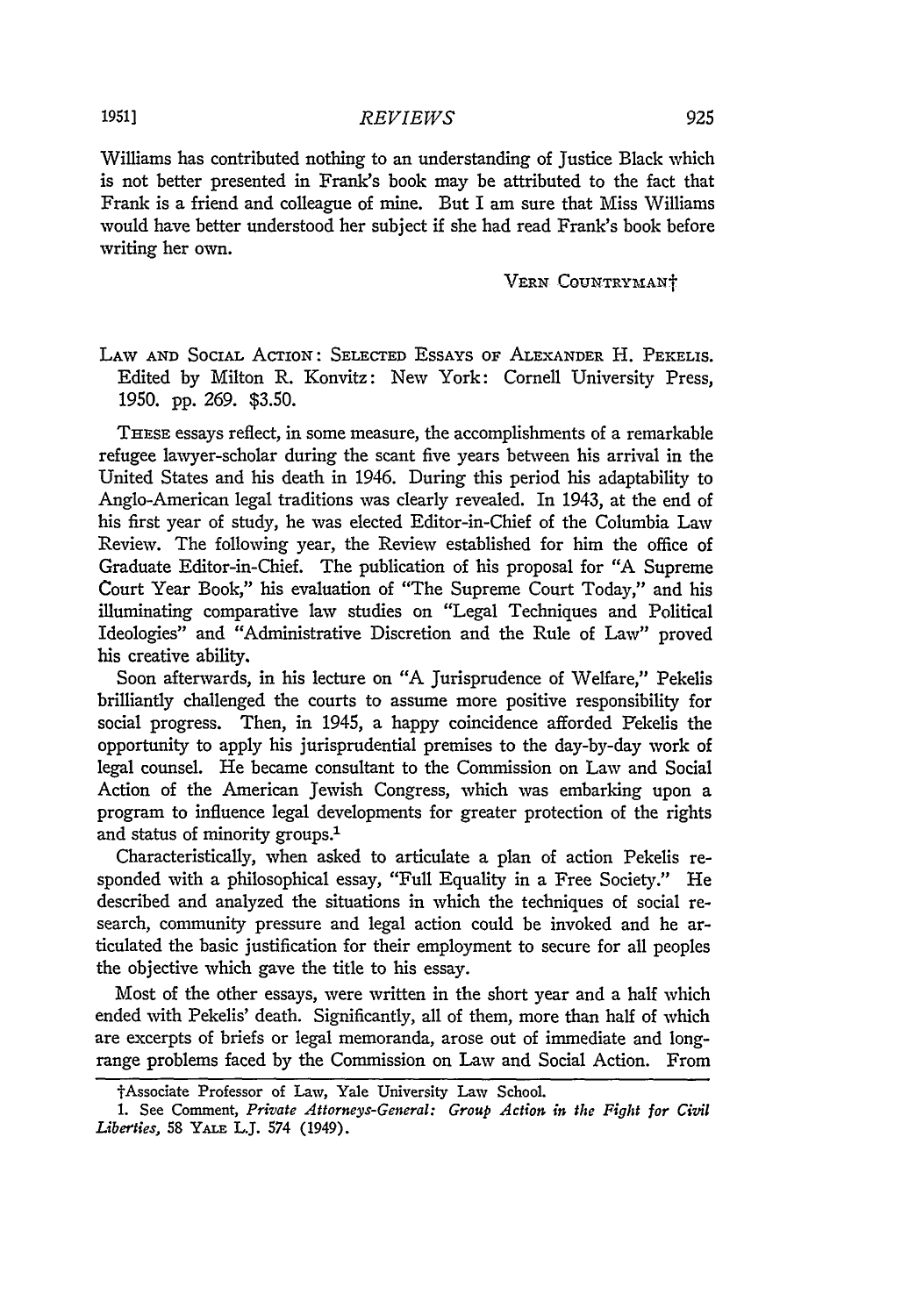Williams has contributed nothing to an understanding of Justice Black which is not better presented in Frank's book may be attributed to the fact that Frank is a friend and colleague of mine. But I am sure that Miss Williams would have better understood her subject if she had read Frank's book before writing her own.

VERN **COUNTRYMAN+**

LAW **AND** SOCIAL ACTION: SELECTED ESSAYS OF ALEXANDER H. PEKELIS. Edited by Milton R. Konvitz: New York: Cornell University Press, 1950. pp. 269. \$3.50.

**THESE** essays reflect, in some measure, the accomplishments of a remarkable refugee lawyer-scholar during the scant five years between his arrival in the United States and his death in 1946. During this period his adaptability to Anglo-American legal traditions was clearly revealed. In 1943, at the end of his first year of study, he was elected Editor-in-Chief of the Columbia Law Review. The following year, the Review established for him the office of Graduate Editor-in-Chief. The publication of his proposal for "A Supreme Court Year Book," his evaluation of "The Supreme Court Today," and his illuminating comparative law studies on "Legal Techniques and Political Ideologies" and "Administrative Discretion and the Rule of Law" proved his creative ability.

Soon afterwards, in his lecture on "A Jurisprudence of Welfare," Pekelis brilliantly challenged the courts to assume more positive responsibility for social progress. Then, in 1945, a happy coincidence afforded Pekelis the opportunity to apply his jurisprudential premises to the day-by-day work of legal counsel. He became consultant to the Commission on Law and Social Action of the American Jewish Congress, which was embarking upon a program to influence legal developments for greater protection of the rights and status of minority groups.1

Characteristically, when asked to articulate a plan of action Pekelis responded with a philosophical essay, "Full Equality in a Free Society." He described and analyzed the situations in which the techniques of social research, community pressure and legal action could be invoked and he articulated the basic justification for their employment to secure for all peoples the objective which gave the title to his essay.

Most of the other essays, were written in the short year and a half which ended with Pekelis' death. Significantly, all of them, more than half of which are excerpts of briefs or legal memoranda, arose out of immediate and longrange problems faced by the Commission on Law and Social Action. From

tAssociate Professor of Law, Yale University Law School.

**<sup>1.</sup>** See Comment, *Private Attorneys-General: Group Action in the Fight for Civil Liberties*, 58 YALE L.J. 574 (1949).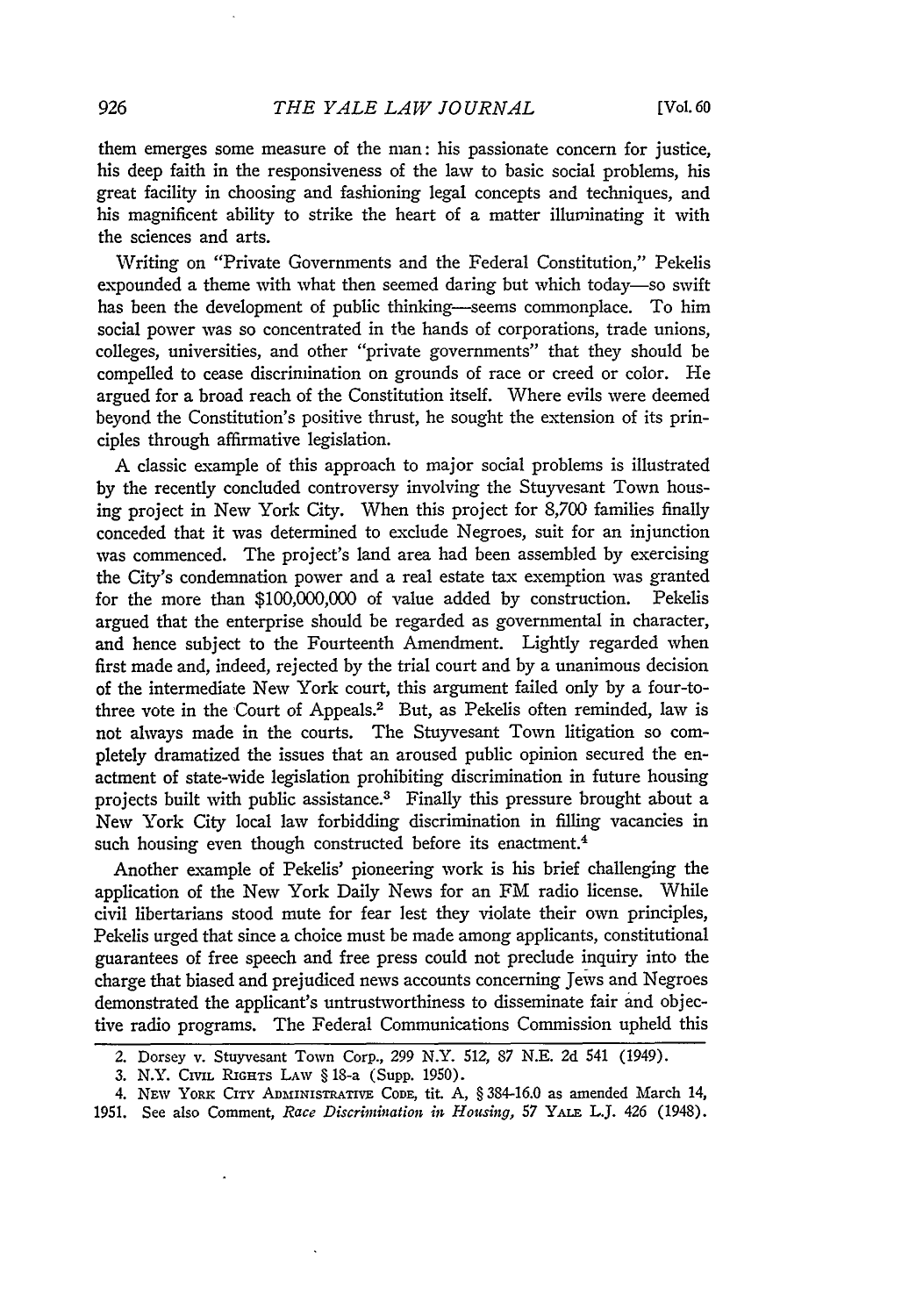them emerges some measure of the man: his passionate concern for justice, his deep faith in the responsiveness of the law to basic social problems, his great facility in choosing and fashioning legal concepts and techniques, and his magnificent ability to strike the heart of a matter illuminating it with the sciences and arts.

Writing on "Private Governments and the Federal Constitution," Pekelis expounded a theme with what then seemed daring but which today-so swift has been the development of public thinking-seems commonplace. To him social power was so concentrated in the hands of corporations, trade unions, colleges, universities, and other "private governments" that they should be compelled to cease discrimination on grounds of race or creed or color. He argued for a broad reach of the Constitution itself. Where evils were deemed beyond the Constitution's positive thrust, he sought the extension of its principles through affirmative legislation.

A classic example of this approach to major social problems is illustrated **by** the recently concluded controversy involving the Stuyvesant Town housing project in New York City. When this project for 8,700 families finally conceded that it was determined to exclude Negroes, suit for an injunction was commenced. The project's land area had been assembled **by** exercising the City's condemnation power and a real estate tax exemption was granted for the more than \$100,000,000 of value added **by** construction. Pekelis argued that the enterprise should be regarded as governmental in character, and hence subject to the Fourteenth Amendment. Lightly regarded when first made and, indeed, rejected by the trial court and **by** a unanimous decision of the intermediate New York court, this argument failed only **by** a four-tothree vote in the Court of Appeals.<sup>2</sup> But, as Pekelis often reminded, law is not always made in the courts. The Stuyvesant Town litigation so completely dramatized the issues that an aroused public opinion secured the enactment of state-wide legislation prohibiting discrimination in future housing projects built with public assistance.<sup>3</sup> Finally this pressure brought about a New York City local law forbidding discrimination in filling vacancies in such housing even though constructed before its enactment.<sup>4</sup>

Another example of Pekelis' pioneering work is his brief challenging the application of the New York Daily News for an FM radio license. While civil libertarians stood mute for fear lest they violate their own principles, Pekelis urged that since a choice must be made among applicants, constitutional guarantees of free speech and free press could not preclude inquiry into the charge that biased and prejudiced news accounts concerning Jews and Negroes demonstrated the applicant's untrustworthiness to disseminate fair and objective radio programs. The Federal Communications Commission upheld this

<sup>2.</sup> Dorsey v. Stuyvesant Town Corp., 299 N.Y. 512, 87 N.E. 2d 541 (1949).

**<sup>3.</sup>** N.Y. **CImVL RIGHTS** LAW § 18-a (Supp. 1950).

<sup>4.</sup> **NEW YORK** CiTy **ADMINISTRATIVE CODE,** tit. **A, §** 384-16.0 as amended March 14, 1951. See also Comment, *Race Discrimination it; Housing, 57* **YALE** L.J. 426 (1948).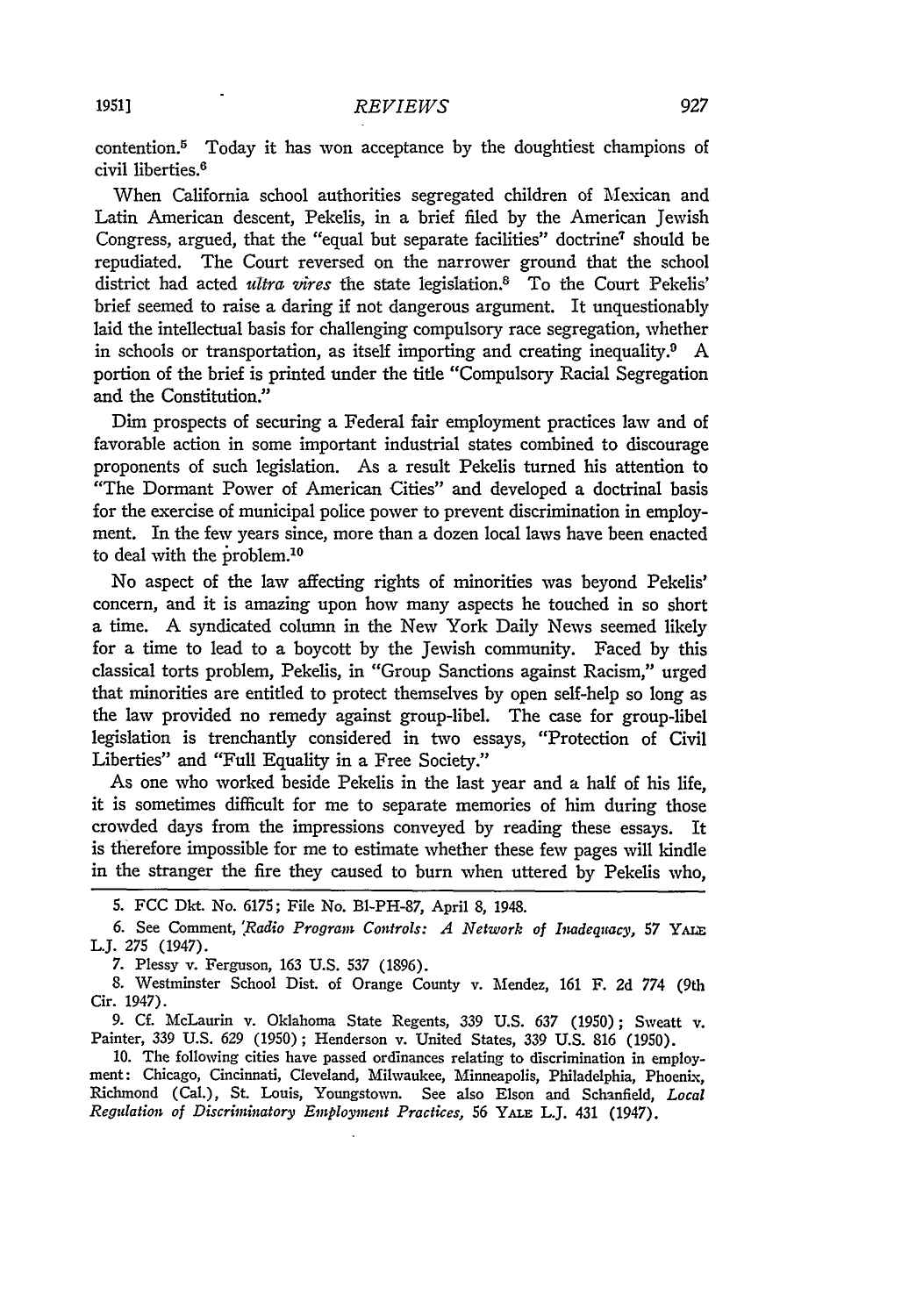contention.<sup>5</sup> Today it has won acceptance by the doughtiest champions of civil liberties.<sup>6</sup>

When California school authorities segregated children of Mexican and Latin American descent, Pekelis, in a brief filed by the American Jewish Congress, argued, that the "equal but separate facilities" doctrine<sup>7</sup> should be repudiated. The Court reversed on the narrower ground that the school district had acted *ultra vires* the state legislation.<sup>8</sup> To the Court Pekelis' brief seemed to raise a daring if not dangerous argument. It unquestionably laid the intellectual basis for challenging compulsory race segregation, whether in schools or transportation, as itself importing and creating inequality. $9 \text{ A}$ portion of the brief is printed under the title "Compulsory Racial Segregation and the Constitution."

Dim prospects of securing a Federal fair employment practices law and of favorable action in some important industrial states combined to discourage proponents of such legislation. As a result Pekelis turned his attention to "The Dormant Power of American Cities" and developed a doctrinal basis for the exercise of municipal police power to prevent discrimination in employment. In the few years since, more than a dozen local laws have been enacted to deal with the problem.<sup>10</sup>

No aspect of the law affecting rights of minorities was beyond Pekelis' concern, and it is amazing upon how many aspects he touched in so short a time. A syndicated column in the New York Daily News seemed likely for a time to lead to a boycott by the Jewish community. Faced by this classical torts problem, Pekelis, in "Group Sanctions against Racism," urged that minorities are entitled to protect themselves by open self-help so long as the law provided no remedy against group-libel. The case for group-libel legislation is trenchantly considered in two essays, "Protection of Civil Liberties" and "Full Equality in a Free Society."

As one who worked beside Pekelis in the last year and a half of his life, it is sometimes difficult for me to separate memories of him during those crowded days from the impressions conveyed by reading these essays. It is therefore impossible for me to estimate whether these few pages will kindle in the stranger the fire they caused to burn when uttered by Pekelis who,

5. FCC Dkt. No. 6175; File No. B1-PH-87, April 8, 1948.

7. Plessy v. Ferguson, 163 U.S. 537 (1896).

9. Cf. McLaurin v. Oklahoma State Regents, 339 U.S. 637 (1950); Sweatt v. Painter, 339 U.S. 629 (1950); Henderson v. United States, 339 U.S. 816 (1950).

10. The following cities have passed ordinances relating to discrimination in employment: Chicago, Cincinnati, Cleveland, Milwaukee, Minneapolis, Philadelphia, Phoenix, Richmond (Cal.), St. Louis, Youngstown. See also Elson and Schanfield, *Local Regulation of Discriminatory Employment Practices,* 56 YALE L.J. 431 (1947).

<sup>6.</sup> See Comment, *'Radio Program Controls: A Network of Inadequacy*, 57 YALE L.J. 275 (1947).

<sup>8.</sup> Westminster School Dist. of Orange County v. Mendez, 161 F. 2d 774 (9th Cir. 1947).